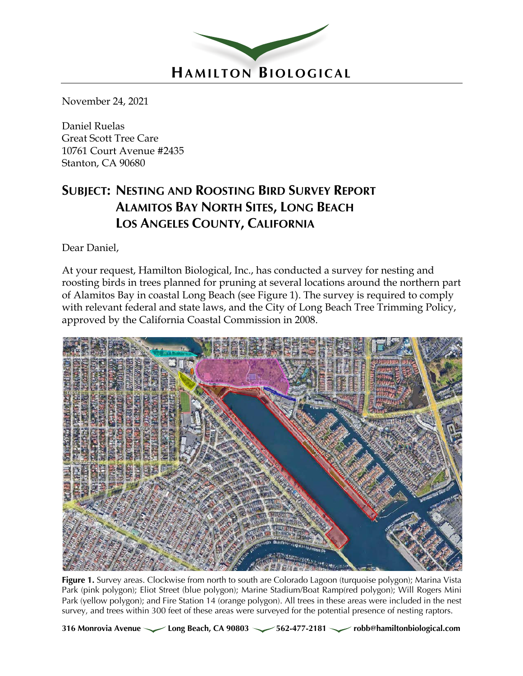

November 24, 2021

Daniel Ruelas Great Scott Tree Care 10761 Court Avenue #2435 Stanton, CA 90680

# **SUBJECT: NESTING AND ROOSTING BIRD SURVEY REPORT ALAMITOS BAY NORTH SITES, LONG BEACH LOS ANGELES COUNTY, CALIFORNIA**

Dear Daniel,

At your request, Hamilton Biological, Inc., has conducted a survey for nesting and roosting birds in trees planned for pruning at several locations around the northern part of Alamitos Bay in coastal Long Beach (see Figure 1). The survey is required to comply with relevant federal and state laws, and the City of Long Beach Tree Trimming Policy, approved by the California Coastal Commission in 2008.



**Figure 1.** Survey areas. Clockwise from north to south are Colorado Lagoon (turquoise polygon); Marina Vista Park (pink polygon); Eliot Street (blue polygon); Marine Stadium/Boat Ramp(red polygon); Will Rogers Mini Park (yellow polygon); and Fire Station 14 (orange polygon). All trees in these areas were included in the nest survey, and trees within 300 feet of these areas were surveyed for the potential presence of nesting raptors.

316 Monrovia Avenue **Long Beach, CA 90803** 562-477-2181 *robb@hamiltonbiological.com*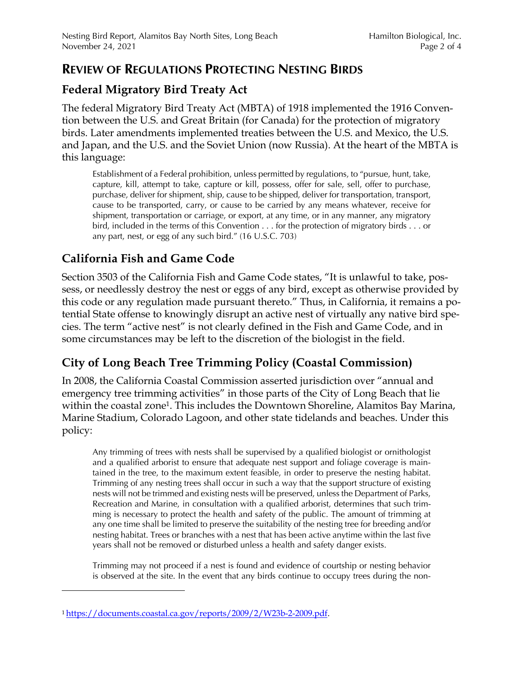### **REVIEW OF REGULATIONS PROTECTING NESTING BIRDS**

### **Federal Migratory Bird Treaty Act**

The federal Migratory Bird Treaty Act (MBTA) of 1918 implemented the 1916 Convention between the U.S. and Great Britain (for Canada) for the protection of migratory birds. Later amendments implemented treaties between the U.S. and Mexico, the U.S. and Japan, and the U.S. and the Soviet Union (now Russia). At the heart of the MBTA is this language:

Establishment of a Federal prohibition, unless permitted by regulations, to "pursue, hunt, take, capture, kill, attempt to take, capture or kill, possess, offer for sale, sell, offer to purchase, purchase, deliver for shipment, ship, cause to be shipped, deliver for transportation, transport, cause to be transported, carry, or cause to be carried by any means whatever, receive for shipment, transportation or carriage, or export, at any time, or in any manner, any migratory bird, included in the terms of this Convention . . . for the protection of migratory birds . . . or any part, nest, or egg of any such bird." (16 U.S.C. 703)

## **California Fish and Game Code**

Section 3503 of the California Fish and Game Code states, "It is unlawful to take, possess, or needlessly destroy the nest or eggs of any bird, except as otherwise provided by this code or any regulation made pursuant thereto." Thus, in California, it remains a potential State offense to knowingly disrupt an active nest of virtually any native bird species. The term "active nest" is not clearly defined in the Fish and Game Code, and in some circumstances may be left to the discretion of the biologist in the field.

### **City of Long Beach Tree Trimming Policy (Coastal Commission)**

In 2008, the California Coastal Commission asserted jurisdiction over "annual and emergency tree trimming activities" in those parts of the City of Long Beach that lie within the coastal zone<sup>1</sup>. This includes the Downtown Shoreline, Alamitos Bay Marina, Marine Stadium, Colorado Lagoon, and other state tidelands and beaches. Under this policy:

Any trimming of trees with nests shall be supervised by a qualified biologist or ornithologist and a qualified arborist to ensure that adequate nest support and foliage coverage is maintained in the tree, to the maximum extent feasible, in order to preserve the nesting habitat. Trimming of any nesting trees shall occur in such a way that the support structure of existing nests will not be trimmed and existing nests will be preserved, unless the Department of Parks, Recreation and Marine, in consultation with a qualified arborist, determines that such trimming is necessary to protect the health and safety of the public. The amount of trimming at any one time shall be limited to preserve the suitability of the nesting tree for breeding and/or nesting habitat. Trees or branches with a nest that has been active anytime within the last five years shall not be removed or disturbed unless a health and safety danger exists.

Trimming may not proceed if a nest is found and evidence of courtship or nesting behavior is observed at the site. In the event that any birds continue to occupy trees during the non-

<sup>1</sup> https://documents.coastal.ca.gov/reports/2009/2/W23b-2-2009.pdf.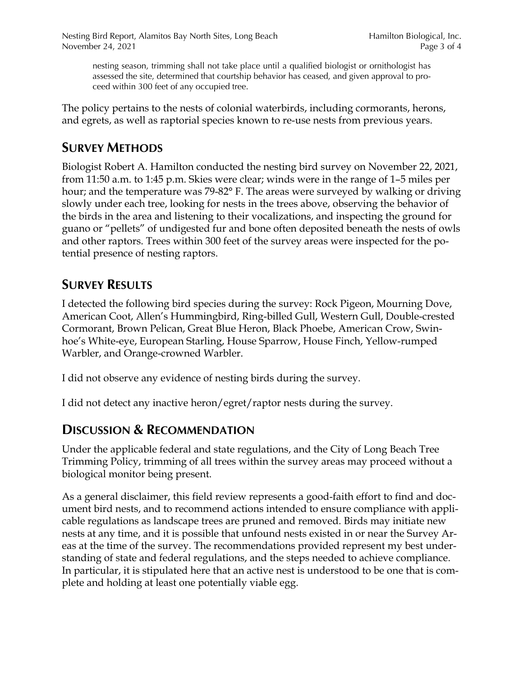nesting season, trimming shall not take place until a qualified biologist or ornithologist has assessed the site, determined that courtship behavior has ceased, and given approval to proceed within 300 feet of any occupied tree.

The policy pertains to the nests of colonial waterbirds, including cormorants, herons, and egrets, as well as raptorial species known to re-use nests from previous years.

## **SURVEY METHODS**

Biologist Robert A. Hamilton conducted the nesting bird survey on November 22, 2021, from 11:50 a.m. to 1:45 p.m. Skies were clear; winds were in the range of 1–5 miles per hour; and the temperature was 79-82° F. The areas were surveyed by walking or driving slowly under each tree, looking for nests in the trees above, observing the behavior of the birds in the area and listening to their vocalizations, and inspecting the ground for guano or "pellets" of undigested fur and bone often deposited beneath the nests of owls and other raptors. Trees within 300 feet of the survey areas were inspected for the potential presence of nesting raptors.

## **SURVEY RESULTS**

I detected the following bird species during the survey: Rock Pigeon, Mourning Dove, American Coot, Allen's Hummingbird, Ring-billed Gull, Western Gull, Double-crested Cormorant, Brown Pelican, Great Blue Heron, Black Phoebe, American Crow, Swinhoe's White-eye, European Starling, House Sparrow, House Finch, Yellow-rumped Warbler, and Orange-crowned Warbler.

I did not observe any evidence of nesting birds during the survey.

I did not detect any inactive heron/egret/raptor nests during the survey.

#### **DISCUSSION & RECOMMENDATION**

Under the applicable federal and state regulations, and the City of Long Beach Tree Trimming Policy, trimming of all trees within the survey areas may proceed without a biological monitor being present.

As a general disclaimer, this field review represents a good-faith effort to find and document bird nests, and to recommend actions intended to ensure compliance with applicable regulations as landscape trees are pruned and removed. Birds may initiate new nests at any time, and it is possible that unfound nests existed in or near the Survey Areas at the time of the survey. The recommendations provided represent my best understanding of state and federal regulations, and the steps needed to achieve compliance. In particular, it is stipulated here that an active nest is understood to be one that is complete and holding at least one potentially viable egg.